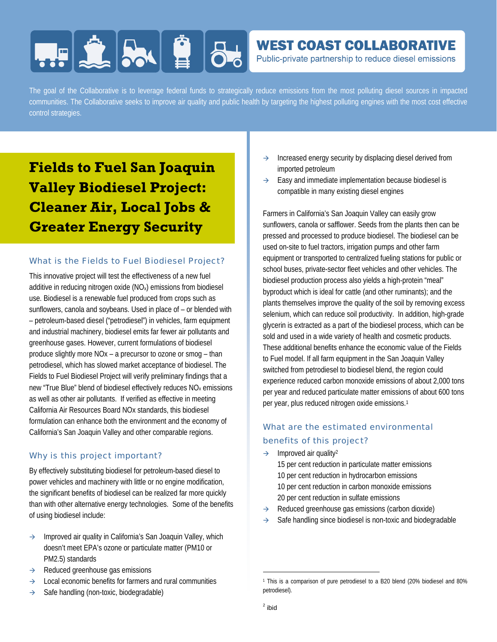# **FIELD AND BL**

# **WEST COAST COLLABORATIVE**

Public-private partnership to reduce diesel emissions

The goal of the Collaborative is to leverage federal funds to strategically reduce emissions from the most polluting diesel sources in impacted communities. The Collaborative seeks to improve air quality and public health by targeting the highest polluting engines with the most cost effective control strategies.

# **Fields to Fuel San Joaquin Valley Biodiesel Project: Cleaner Air, Local Jobs & Greater Energy Security**

## What is the Fields to Fuel Biodiesel Project?

This innovative project will test the effectiveness of a new fuel additive in reducing nitrogen oxide (NOx) emissions from biodiesel use. Biodiesel is a renewable fuel produced from crops such as sunflowers, canola and soybeans. Used in place of – or blended with – petroleum-based diesel ("petrodiesel") in vehicles, farm equipment and industrial machinery, biodiesel emits far fewer air pollutants and greenhouse gases. However, current formulations of biodiesel produce slightly more NOx – a precursor to ozone or smog – than petrodiesel, which has slowed market acceptance of biodiesel. The Fields to Fuel Biodiesel Project will verify preliminary findings that a new "True Blue" blend of biodiesel effectively reduces NOx emissions as well as other air pollutants. If verified as effective in meeting California Air Resources Board NOx standards, this biodiesel formulation can enhance both the environment and the economy of California's San Joaquin Valley and other comparable regions.

## Why is this project important?

By effectively substituting biodiesel for petroleum-based diesel to power vehicles and machinery with little or no engine modification, the significant benefits of biodiesel can be realized far more quickly than with other alternative energy technologies. Some of the benefits of using biodiesel include:

- $\rightarrow$  Improved air quality in California's San Joaquin Valley, which doesn't meet EPA's ozone or particulate matter (PM10 or PM2.5) standards
- $\rightarrow$  Reduced greenhouse gas emissions
- $\rightarrow$  Local economic benefits for farmers and rural communities
- $\rightarrow$  Safe handling (non-toxic, biodegradable)
- $\rightarrow$  Increased energy security by displacing diesel derived from imported petroleum
- $\rightarrow$  Easy and immediate implementation because biodiesel is compatible in many existing diesel engines

Farmers in California's San Joaquin Valley can easily grow sunflowers, canola or safflower. Seeds from the plants then can be pressed and processed to produce biodiesel. The biodiesel can be used on-site to fuel tractors, irrigation pumps and other farm equipment or transported to centralized fueling stations for public or school buses, private-sector fleet vehicles and other vehicles. The biodiesel production process also yields a high-protein "meal" byproduct which is ideal for cattle (and other ruminants); and the plants themselves improve the quality of the soil by removing excess selenium, which can reduce soil productivity. In addition, high-grade glycerin is extracted as a part of the biodiesel process, which can be sold and used in a wide variety of health and cosmetic products. These additional benefits enhance the economic value of the Fields to Fuel model. If all farm equipment in the San Joaquin Valley switched from petrodiesel to biodiesel blend, the region could experience reduced carbon monoxide emissions of about 2,000 tons per year and reduced particulate matter emissions of about 600 tons per year, plus reduced nitrogen oxide emissions.1

# What are the estimated environmental benefits of this project?

 $\rightarrow$  Improved air quality<sup>2</sup>

15 per cent reduction in particulate matter emissions 10 per cent reduction in hydrocarbon emissions 10 per cent reduction in carbon monoxide emissions 20 per cent reduction in sulfate emissions

- $\rightarrow$  Reduced greenhouse gas emissions (carbon dioxide)
- Safe handling since biodiesel is non-toxic and biodegradable

 $\overline{\phantom{a}}$ 

<sup>1</sup> This is a comparison of pure petrodiesel to a B20 blend (20% biodiesel and 80% petrodiesel).